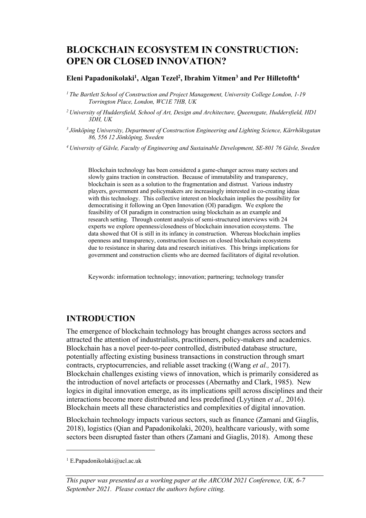# **BLOCKCHAIN ECOSYSTEM IN CONSTRUCTION: OPEN OR CLOSED INNOVATION?**

### **Eleni Papadonikolaki1 , Algan Tezel2 , Ibrahim Yitmen3 and Per Hilletofth4**

*1 The Bartlett School of Construction and Project Management, University College London, 1-19 Torrington Place, London, WC1E 7HB, UK*

- *2 University of Huddersfield, School of Art, Design and Architecture, Queensgate, Huddersfield, HD1 3DH, UK*
- *3 Jönköping University, Department of Construction Engineering and Lighting Science, Kärrhöksgatan 86, 556 12 Jönköping, Sweden*

*4 University of Gävle, Faculty of Engineering and Sustainable Development, SE-801 76 Gävle, Sweden*

Blockchain technology has been considered a game-changer across many sectors and slowly gains traction in construction. Because of immutability and transparency, blockchain is seen as a solution to the fragmentation and distrust. Various industry players, government and policymakers are increasingly interested in co-creating ideas with this technology. This collective interest on blockchain implies the possibility for democratising it following an Open Innovation (OI) paradigm. We explore the feasibility of OI paradigm in construction using blockchain as an example and research setting. Through content analysis of semi-structured interviews with 24 experts we explore openness/closedness of blockchain innovation ecosystems. The data showed that OI is still in its infancy in construction. Whereas blockchain implies openness and transparency, construction focuses on closed blockchain ecosystems due to resistance in sharing data and research initiatives. This brings implications for government and construction clients who are deemed facilitators of digital revolution.

Keywords: information technology; innovation; partnering; technology transfer

### **INTRODUCTION**

The emergence of blockchain technology has brought changes across sectors and attracted the attention of industrialists, practitioners, policy-makers and academics. Blockchain has a novel peer-to-peer controlled, distributed database structure, potentially affecting existing business transactions in construction through smart contracts, cryptocurrencies, and reliable asset tracking ((Wang *et al.,* 2017). Blockchain challenges existing views of innovation, which is primarily considered as the introduction of novel artefacts or processes (Abernathy and Clark, 1985). New logics in digital innovation emerge, as its implications spill across disciplines and their interactions become more distributed and less predefined (Lyytinen *et al.,* 2016). Blockchain meets all these characteristics and complexities of digital innovation.

Blockchain technology impacts various sectors, such as finance (Zamani and Giaglis, 2018), logistics (Qian and Papadonikolaki, 2020), healthcare variously, with some sectors been disrupted faster than others (Zamani and Giaglis, 2018). Among these

<sup>&</sup>lt;sup>1</sup> E.Papadonikolaki@ucl.ac.uk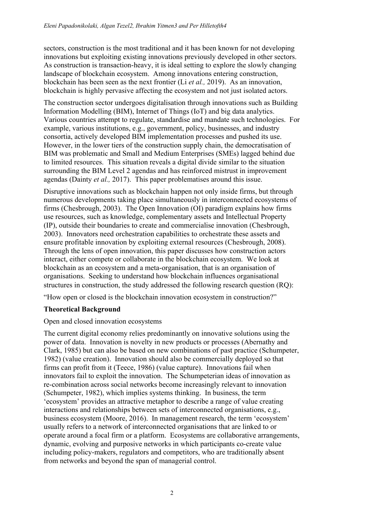sectors, construction is the most traditional and it has been known for not developing innovations but exploiting existing innovations previously developed in other sectors. As construction is transaction-heavy, it is ideal setting to explore the slowly changing landscape of blockchain ecosystem. Among innovations entering construction, blockchain has been seen as the next frontier (Li *et al.,* 2019). As an innovation, blockchain is highly pervasive affecting the ecosystem and not just isolated actors.

The construction sector undergoes digitalisation through innovations such as Building Information Modelling (BIM), Internet of Things (IoT) and big data analytics. Various countries attempt to regulate, standardise and mandate such technologies. For example, various institutions, e.g., government, policy, businesses, and industry consortia, actively developed BIM implementation processes and pushed its use. However, in the lower tiers of the construction supply chain, the democratisation of BIM was problematic and Small and Medium Enterprises (SMEs) lagged behind due to limited resources. This situation reveals a digital divide similar to the situation surrounding the BIM Level 2 agendas and has reinforced mistrust in improvement agendas (Dainty *et al.,* 2017). This paper problematises around this issue.

Disruptive innovations such as blockchain happen not only inside firms, but through numerous developments taking place simultaneously in interconnected ecosystems of firms (Chesbrough, 2003). The Open Innovation (OI) paradigm explains how firms use resources, such as knowledge, complementary assets and Intellectual Property (IP), outside their boundaries to create and commercialise innovation (Chesbrough, 2003). Innovators need orchestration capabilities to orchestrate these assets and ensure profitable innovation by exploiting external resources (Chesbrough, 2008). Through the lens of open innovation, this paper discusses how construction actors interact, either compete or collaborate in the blockchain ecosystem. We look at blockchain as an ecosystem and a meta-organisation, that is an organisation of organisations. Seeking to understand how blockchain influences organisational structures in construction, the study addressed the following research question (RQ):

"How open or closed is the blockchain innovation ecosystem in construction?"

### **Theoretical Background**

### Open and closed innovation ecosystems

The current digital economy relies predominantly on innovative solutions using the power of data. Innovation is novelty in new products or processes (Abernathy and Clark, 1985) but can also be based on new combinations of past practice (Schumpeter, 1982) (value creation). Innovation should also be commercially deployed so that firms can profit from it (Teece, 1986) (value capture). Innovations fail when innovators fail to exploit the innovation. The Schumpeterian ideas of innovation as re-combination across social networks become increasingly relevant to innovation (Schumpeter, 1982), which implies systems thinking. In business, the term 'ecosystem' provides an attractive metaphor to describe a range of value creating interactions and relationships between sets of interconnected organisations, e.g., business ecosystem (Moore, 2016). In management research, the term 'ecosystem' usually refers to a network of interconnected organisations that are linked to or operate around a focal firm or a platform. Ecosystems are collaborative arrangements, dynamic, evolving and purposive networks in which participants co-create value including policy-makers, regulators and competitors, who are traditionally absent from networks and beyond the span of managerial control.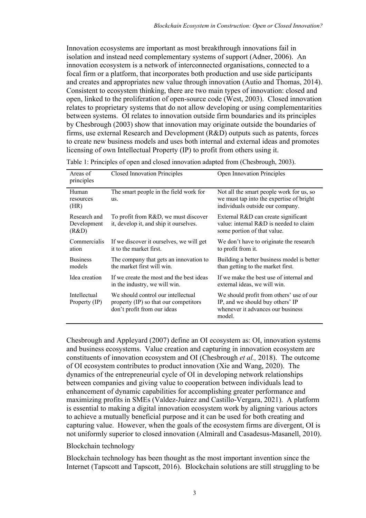Innovation ecosystems are important as most breakthrough innovations fail in isolation and instead need complementary systems of support (Adner, 2006). An innovation ecosystem is a network of interconnected organisations, connected to a focal firm or a platform, that incorporates both production and use side participants and creates and appropriates new value through innovation (Autio and Thomas, 2014). Consistent to ecosystem thinking, there are two main types of innovation: closed and open, linked to the proliferation of open-source code (West, 2003). Closed innovation relates to proprietary systems that do not allow developing or using complementarities between systems. OI relates to innovation outside firm boundaries and its principles by Chesbrough (2003) show that innovation may originate outside the boundaries of firms, use external Research and Development (R&D) outputs such as patents, forces to create new business models and uses both internal and external ideas and promotes licensing of own Intellectual Property (IP) to profit from others using it.

| Areas of<br>principles               | <b>Closed Innovation Principles</b>                                                                        | <b>Open Innovation Principles</b>                                                                                           |
|--------------------------------------|------------------------------------------------------------------------------------------------------------|-----------------------------------------------------------------------------------------------------------------------------|
| Human<br>resources<br>(HR)           | The smart people in the field work for<br>us.                                                              | Not all the smart people work for us, so<br>we must tap into the expertise of bright<br>individuals outside our company.    |
| Research and<br>Development<br>(R&D) | To profit from R&D, we must discover<br>it, develop it, and ship it ourselves.                             | External R&D can create significant<br>value: internal R&D is needed to claim<br>some portion of that value.                |
| Commercialis<br>ation                | If we discover it ourselves, we will get<br>it to the market first.                                        | We don't have to originate the research<br>to profit from it.                                                               |
| <b>Business</b><br>models            | The company that gets an innovation to<br>the market first will win.                                       | Building a better business model is better<br>than getting to the market first.                                             |
| Idea creation                        | If we create the most and the best ideas<br>in the industry, we will win.                                  | If we make the best use of internal and<br>external ideas, we will win.                                                     |
| Intellectual<br>Property (IP)        | We should control our intellectual<br>property (IP) so that our competitors<br>don't profit from our ideas | We should profit from others' use of our<br>IP, and we should buy others' IP<br>whenever it advances our business<br>model. |

Table 1: Principles of open and closed innovation adapted from (Chesbrough, 2003).

Chesbrough and Appleyard (2007) define an OI ecosystem as: OI, innovation systems and business ecosystems. Value creation and capturing in innovation ecosystem are constituents of innovation ecosystem and OI (Chesbrough *et al.,* 2018). The outcome of OI ecosystem contributes to product innovation (Xie and Wang, 2020). The dynamics of the entrepreneurial cycle of OI in developing network relationships between companies and giving value to cooperation between individuals lead to enhancement of dynamic capabilities for accomplishing greater performance and maximizing profits in SMEs (Valdez-Juárez and Castillo-Vergara, 2021). A platform is essential to making a digital innovation ecosystem work by aligning various actors to achieve a mutually beneficial purpose and it can be used for both creating and capturing value. However, when the goals of the ecosystem firms are divergent, OI is not uniformly superior to closed innovation (Almirall and Casadesus-Masanell, 2010).

### Blockchain technology

Blockchain technology has been thought as the most important invention since the Internet (Tapscott and Tapscott, 2016). Blockchain solutions are still struggling to be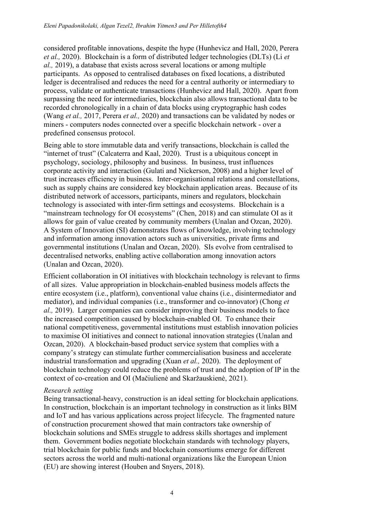considered profitable innovations, despite the hype (Hunhevicz and Hall, 2020, Perera *et al.,* 2020). Blockchain is a form of distributed ledger technologies (DLTs) (Li *et al.,* 2019), a database that exists across several locations or among multiple participants. As opposed to centralised databases on fixed locations, a distributed ledger is decentralised and reduces the need for a central authority or intermediary to process, validate or authenticate transactions (Hunhevicz and Hall, 2020). Apart from surpassing the need for intermediaries, blockchain also allows transactional data to be recorded chronologically in a chain of data blocks using cryptographic hash codes (Wang *et al.,* 2017, Perera *et al.,* 2020) and transactions can be validated by nodes or miners - computers nodes connected over a specific blockchain network - over a predefined consensus protocol.

Being able to store immutable data and verify transactions, blockchain is called the "internet of trust" (Calcaterra and Kaal, 2020). Trust is a ubiquitous concept in psychology, sociology, philosophy and business. In business, trust influences corporate activity and interaction (Gulati and Nickerson, 2008) and a higher level of trust increases efficiency in business. Inter-organisational relations and constellations, such as supply chains are considered key blockchain application areas. Because of its distributed network of accessors, participants, miners and regulators, blockchain technology is associated with inter-firm settings and ecosystems. Blockchain is a "mainstream technology for OI ecosystems" (Chen, 2018) and can stimulate OI as it allows for gain of value created by community members (Unalan and Ozcan, 2020). A System of Innovation (SI) demonstrates flows of knowledge, involving technology and information among innovation actors such as universities, private firms and governmental institutions (Unalan and Ozcan, 2020). SIs evolve from centralised to decentralised networks, enabling active collaboration among innovation actors (Unalan and Ozcan, 2020).

Efficient collaboration in OI initiatives with blockchain technology is relevant to firms of all sizes. Value appropriation in blockchain-enabled business models affects the entire ecosystem (i.e., platform), conventional value chains (i.e., disintermediator and mediator), and individual companies (i.e., transformer and co-innovator) (Chong *et al.,* 2019). Larger companies can consider improving their business models to face the increased competition caused by blockchain-enabled OI. To enhance their national competitiveness, governmental institutions must establish innovation policies to maximise OI initiatives and connect to national innovation strategies (Unalan and Ozcan, 2020). A blockchain-based product service system that complies with a company's strategy can stimulate further commercialisation business and accelerate industrial transformation and upgrading (Xuan *et al.,* 2020). The deployment of blockchain technology could reduce the problems of trust and the adoption of IP in the context of co-creation and OI (Mačiulienė and Skaržauskienė, 2021).

### *Research setting*

Being transactional-heavy, construction is an ideal setting for blockchain applications. In construction, blockchain is an important technology in construction as it links BIM and IoT and has various applications across project lifecycle. The fragmented nature of construction procurement showed that main contractors take ownership of blockchain solutions and SMEs struggle to address skills shortages and implement them. Government bodies negotiate blockchain standards with technology players, trial blockchain for public funds and blockchain consortiums emerge for different sectors across the world and multi-national organizations like the European Union (EU) are showing interest (Houben and Snyers, 2018).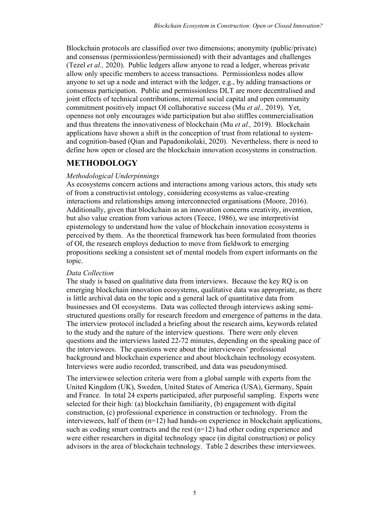Blockchain protocols are classified over two dimensions; anonymity (public/private) and consensus (permissionless/permissioned) with their advantages and challenges (Tezel *et al.,* 2020). Public ledgers allow anyone to read a ledger, whereas private allow only specific members to access transactions. Permissionless nodes allow anyone to set up a node and interact with the ledger, e.g., by adding transactions or consensus participation. Public and permissionless DLT are more decentralised and joint effects of technical contributions, internal social capital and open community commitment positively impact OI collaborative success (Mu *et al.,* 2019). Yet, openness not only encourages wide participation but also stiffles commercialisation and thus threatens the innovativeness of blockchain (Mu *et al.,* 2019). Blockchain applications have shown a shift in the conception of trust from relational to systemand cognition-based (Qian and Papadonikolaki, 2020). Nevertheless, there is need to define how open or closed are the blockchain innovation ecosystems in construction.

### **METHODOLOGY**

### *Methodological Underpinnings*

As ecosystems concern actions and interactions among various actors, this study sets of from a constructivist ontology, considering ecosystems as value-creating interactions and relationships among interconnected organisations (Moore, 2016). Additionally, given that blockchain as an innovation concerns creativity, invention, but also value creation from various actors (Teece, 1986), we use interpretivist epistemology to understand how the value of blockchain innovation ecosystems is perceived by them. As the theoretical framework has been formulated from theories of OI, the research employs deduction to move from fieldwork to emerging propositions seeking a consistent set of mental models from expert informants on the topic.

### *Data Collection*

The study is based on qualitative data from interviews. Because the key RQ is on emerging blockchain innovation ecosystems, qualitative data was appropriate, as there is little archival data on the topic and a general lack of quantitative data from businesses and OI ecosystems. Data was collected through interviews asking semistructured questions orally for research freedom and emergence of patterns in the data. The interview protocol included a briefing about the research aims, keywords related to the study and the nature of the interview questions. There were only eleven questions and the interviews lasted 22-72 minutes, depending on the speaking pace of the interviewees. The questions were about the interviewees' professional background and blockchain experience and about blockchain technology ecosystem. Interviews were audio recorded, transcribed, and data was pseudonymised.

The interviewee selection criteria were from a global sample with experts from the United Kingdom (UK), Sweden, United States of America (USA), Germany, Spain and France. In total 24 experts participated, after purposeful sampling. Experts were selected for their high: (a) blockchain familiarity, (b) engagement with digital construction, (c) professional experience in construction or technology. From the interviewees, half of them (n=12) had hands-on experience in blockchain applications, such as coding smart contracts and the rest  $(n=12)$  had other coding experience and were either researchers in digital technology space (in digital construction) or policy advisors in the area of blockchain technology. Table 2 describes these interviewees.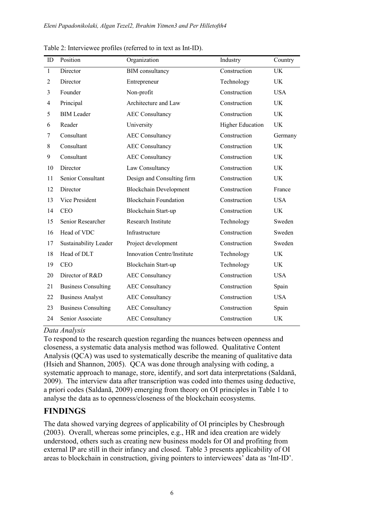| ID                       | Position                   | Organization                  | Industry                | Country    |
|--------------------------|----------------------------|-------------------------------|-------------------------|------------|
| $\mathbf{1}$             | Director                   | <b>BIM</b> consultancy        | Construction            | <b>UK</b>  |
| 2                        | Director                   | Entrepreneur                  | Technology              | UK         |
| 3                        | Founder                    | Non-profit                    | Construction            | <b>USA</b> |
| $\overline{\mathcal{A}}$ | Principal                  | Architecture and Law          | Construction            | UK         |
| 5                        | <b>BIM</b> Leader          | <b>AEC Consultancy</b>        | Construction            | <b>UK</b>  |
| 6                        | Reader                     | University                    | <b>Higher Education</b> | <b>UK</b>  |
| 7                        | Consultant                 | <b>AEC Consultancy</b>        | Construction            | Germany    |
| 8                        | Consultant                 | <b>AEC Consultancy</b>        | Construction            | UK         |
| 9                        | Consultant                 | <b>AEC Consultancy</b>        | Construction            | <b>UK</b>  |
| 10                       | Director                   | Law Consultancy               | Construction            | <b>UK</b>  |
| 11                       | Senior Consultant          | Design and Consulting firm    | Construction            | <b>UK</b>  |
| 12                       | Director                   | <b>Blockchain Development</b> | Construction            | France     |
| 13                       | Vice President             | <b>Blockchain Foundation</b>  | Construction            | <b>USA</b> |
| 14                       | <b>CEO</b>                 | Blockchain Start-up           | Construction            | <b>UK</b>  |
| 15                       | Senior Researcher          | Research Institute            | Technology              | Sweden     |
| 16                       | Head of VDC                | Infrastructure                | Construction            | Sweden     |
| 17                       | Sustainability Leader      | Project development           | Construction            | Sweden     |
| 18                       | Head of DLT                | Innovation Centre/Institute   | Technology              | UK         |
| 19                       | <b>CEO</b>                 | Blockchain Start-up           | Technology              | <b>UK</b>  |
| 20                       | Director of R&D            | <b>AEC Consultancy</b>        | Construction            | <b>USA</b> |
| 21                       | <b>Business Consulting</b> | <b>AEC Consultancy</b>        | Construction            | Spain      |
| 22                       | <b>Business Analyst</b>    | <b>AEC Consultancy</b>        | Construction            | <b>USA</b> |
| 23                       | <b>Business Consulting</b> | <b>AEC Consultancy</b>        | Construction            | Spain      |
| 24                       | Senior Associate           | <b>AEC Consultancy</b>        | Construction            | <b>UK</b>  |

Table 2: Interviewee profiles (referred to in text as Int-ID).

### *Data Analysis*

To respond to the research question regarding the nuances between openness and closeness, a systematic data analysis method was followed. Qualitative Content Analysis (QCA) was used to systematically describe the meaning of qualitative data (Hsieh and Shannon, 2005). QCA was done through analysing with coding, a systematic approach to manage, store, identify, and sort data interpretations (Saldanā, 2009). The interview data after transcription was coded into themes using deductive, a priori codes (Saldanā, 2009) emerging from theory on OI principles in Table 1 to analyse the data as to openness/closeness of the blockchain ecosystems.

## **FINDINGS**

The data showed varying degrees of applicability of OI principles by Chesbrough (2003). Overall, whereas some principles, e.g., HR and idea creation are widely understood, others such as creating new business models for OI and profiting from external IP are still in their infancy and closed. Table 3 presents applicability of OI areas to blockchain in construction, giving pointers to interviewees' data as 'Int-ID'.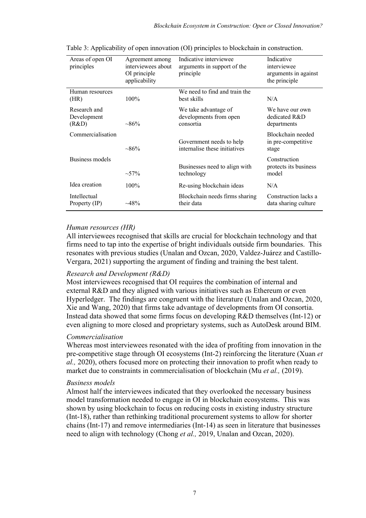| Areas of open OI<br>principles       | Agreement among<br>interviewees about<br>OI principle<br>applicability | Indicative interviewee<br>arguments in support of the<br>principle | Indicative<br>interviewee<br>arguments in against<br>the principle |
|--------------------------------------|------------------------------------------------------------------------|--------------------------------------------------------------------|--------------------------------------------------------------------|
| Human resources<br>(HR)              | $100\%$                                                                | We need to find and train the<br>best skills                       | N/A                                                                |
| Research and<br>Development<br>(R&D) | $~86\%$                                                                | We take advantage of<br>developments from open<br>consortia        | We have our own<br>dedicated R&D<br>departments                    |
| Commercialisation                    | $~86\%$                                                                | Government needs to help<br>internalise these initiatives          | Blockchain needed<br>in pre-competitive<br>stage                   |
| <b>Business models</b>               | $\sim 57\%$                                                            | Businesses need to align with<br>technology                        | Construction<br>protects its business<br>model                     |
| Idea creation                        | $100\%$                                                                | Re-using blockchain ideas                                          | N/A                                                                |
| Intellectual<br>Property (IP)        | $~148\%$                                                               | Blockchain needs firms sharing<br>their data                       | Construction lacks a<br>data sharing culture                       |

Table 3: Applicability of open innovation (OI) principles to blockchain in construction.

### *Human resources (HR)*

All interviewees recognised that skills are crucial for blockchain technology and that firms need to tap into the expertise of bright individuals outside firm boundaries. This resonates with previous studies (Unalan and Ozcan, 2020, Valdez-Juárez and Castillo-Vergara, 2021) supporting the argument of finding and training the best talent.

### *Research and Development (R&D)*

Most interviewees recognised that OI requires the combination of internal and external R&D and they aligned with various initiatives such as Ethereum or even Hyperledger. The findings are congruent with the literature (Unalan and Ozcan, 2020, Xie and Wang, 2020) that firms take advantage of developments from OI consortia. Instead data showed that some firms focus on developing R&D themselves (Int-12) or even aligning to more closed and proprietary systems, such as AutoDesk around BIM.

### *Commercialisation*

Whereas most interviewees resonated with the idea of profiting from innovation in the pre-competitive stage through OI ecosystems (Int-2) reinforcing the literature (Xuan *et al.,* 2020), others focused more on protecting their innovation to profit when ready to market due to constraints in commercialisation of blockchain (Mu *et al.,* (2019).

### *Business models*

Almost half the interviewees indicated that they overlooked the necessary business model transformation needed to engage in OI in blockchain ecosystems. This was shown by using blockchain to focus on reducing costs in existing industry structure (Int-18), rather than rethinking traditional procurement systems to allow for shorter chains (Int-17) and remove intermediaries (Int-14) as seen in literature that businesses need to align with technology (Chong *et al.,* 2019, Unalan and Ozcan, 2020).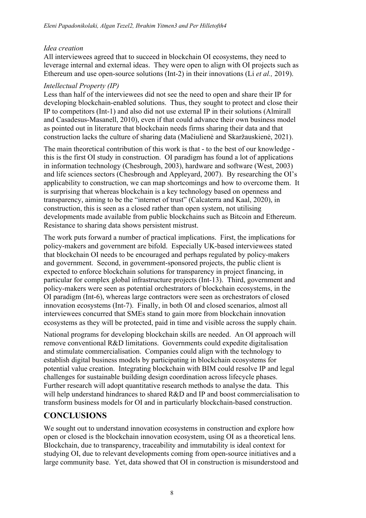### *Idea creation*

All interviewees agreed that to succeed in blockchain OI ecosystems, they need to leverage internal and external ideas. They were open to align with OI projects such as Ethereum and use open-source solutions (Int-2) in their innovations (Li *et al.,* 2019).

### *Intellectual Property (IP)*

Less than half of the interviewees did not see the need to open and share their IP for developing blockchain-enabled solutions. Thus, they sought to protect and close their IP to competitors (Int-1) and also did not use external IP in their solutions (Almirall and Casadesus-Masanell, 2010), even if that could advance their own business model as pointed out in literature that blockchain needs firms sharing their data and that construction lacks the culture of sharing data (Mačiulienė and Skaržauskienė, 2021).

The main theoretical contribution of this work is that - to the best of our knowledge this is the first OI study in construction. OI paradigm has found a lot of applications in information technology (Chesbrough, 2003), hardware and software (West, 2003) and life sciences sectors (Chesbrough and Appleyard, 2007). By researching the OI's applicability to construction, we can map shortcomings and how to overcome them. It is surprising that whereas blockchain is a key technology based on openness and transparency, aiming to be the "internet of trust" (Calcaterra and Kaal, 2020), in construction, this is seen as a closed rather than open system, not utilising developments made available from public blockchains such as Bitcoin and Ethereum. Resistance to sharing data shows persistent mistrust.

The work puts forward a number of practical implications. First, the implications for policy-makers and government are bifold. Especially UK-based interviewees stated that blockchain OI needs to be encouraged and perhaps regulated by policy-makers and government. Second, in government-sponsored projects, the public client is expected to enforce blockchain solutions for transparency in project financing, in particular for complex global infrastructure projects (Int-13). Third, government and policy-makers were seen as potential orchestrators of blockchain ecosystems, in the OI paradigm (Int-6), whereas large contractors were seen as orchestrators of closed innovation ecosystems (Int-7). Finally, in both OI and closed scenarios, almost all interviewees concurred that SMEs stand to gain more from blockchain innovation ecosystems as they will be protected, paid in time and visible across the supply chain.

National programs for developing blockchain skills are needed. An OI approach will remove conventional R&D limitations. Governments could expedite digitalisation and stimulate commercialisation. Companies could align with the technology to establish digital business models by participating in blockchain ecosystems for potential value creation. Integrating blockchain with BIM could resolve IP and legal challenges for sustainable building design coordination across lifecycle phases. Further research will adopt quantitative research methods to analyse the data. This will help understand hindrances to shared R&D and IP and boost commercialisation to transform business models for OI and in particularly blockchain-based construction.

## **CONCLUSIONS**

We sought out to understand innovation ecosystems in construction and explore how open or closed is the blockchain innovation ecosystem, using OI as a theoretical lens. Blockchain, due to transparency, traceability and immutability is ideal context for studying OI, due to relevant developments coming from open-source initiatives and a large community base. Yet, data showed that OI in construction is misunderstood and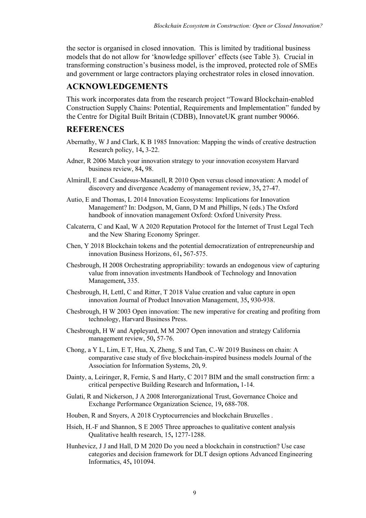the sector is organised in closed innovation. This is limited by traditional business models that do not allow for 'knowledge spillover' effects (see Table 3). Crucial in transforming construction's business model, is the improved, protected role of SMEs and government or large contractors playing orchestrator roles in closed innovation.

## **ACKNOWLEDGEMENTS**

This work incorporates data from the research project "Toward Blockchain-enabled Construction Supply Chains: Potential, Requirements and Implementation" funded by the Centre for Digital Built Britain (CDBB), InnovateUK grant number 90066.

## **REFERENCES**

- Abernathy, W J and Clark, K B 1985 Innovation: Mapping the winds of creative destruction Research policy, 14**,** 3-22.
- Adner, R 2006 Match your innovation strategy to your innovation ecosystem Harvard business review, 84**,** 98.
- Almirall, E and Casadesus-Masanell, R 2010 Open versus closed innovation: A model of discovery and divergence Academy of management review, 35**,** 27-47.
- Autio, E and Thomas, L 2014 Innovation Ecosystems: Implications for Innovation Management? In: Dodgson, M, Gann, D M and Phillips, N (eds.) The Oxford handbook of innovation management Oxford: Oxford University Press.
- Calcaterra, C and Kaal, W A 2020 Reputation Protocol for the Internet of Trust Legal Tech and the New Sharing Economy Springer.
- Chen, Y 2018 Blockchain tokens and the potential democratization of entrepreneurship and innovation Business Horizons, 61**,** 567-575.
- Chesbrough, H 2008 Orchestrating appropriability: towards an endogenous view of capturing value from innovation investments Handbook of Technology and Innovation Management**,** 335.
- Chesbrough, H, Lettl, C and Ritter, T 2018 Value creation and value capture in open innovation Journal of Product Innovation Management, 35**,** 930-938.
- Chesbrough, H W 2003 Open innovation: The new imperative for creating and profiting from technology, Harvard Business Press.
- Chesbrough, H W and Appleyard, M M 2007 Open innovation and strategy California management review, 50**,** 57-76.
- Chong, a Y L, Lim, E T, Hua, X, Zheng, S and Tan, C.-W 2019 Business on chain: A comparative case study of five blockchain-inspired business models Journal of the Association for Information Systems, 20**,** 9.
- Dainty, a, Leiringer, R, Fernie, S and Harty, C 2017 BIM and the small construction firm: a critical perspective Building Research and Information**,** 1-14.
- Gulati, R and Nickerson, J A 2008 Interorganizational Trust, Governance Choice and Exchange Performance Organization Science, 19**,** 688-708.
- Houben, R and Snyers, A 2018 Cryptocurrencies and blockchain Bruxelles .
- Hsieh, H.-F and Shannon, S E 2005 Three approaches to qualitative content analysis Qualitative health research, 15**,** 1277-1288.
- Hunhevicz, J J and Hall, D M 2020 Do you need a blockchain in construction? Use case categories and decision framework for DLT design options Advanced Engineering Informatics, 45**,** 101094.